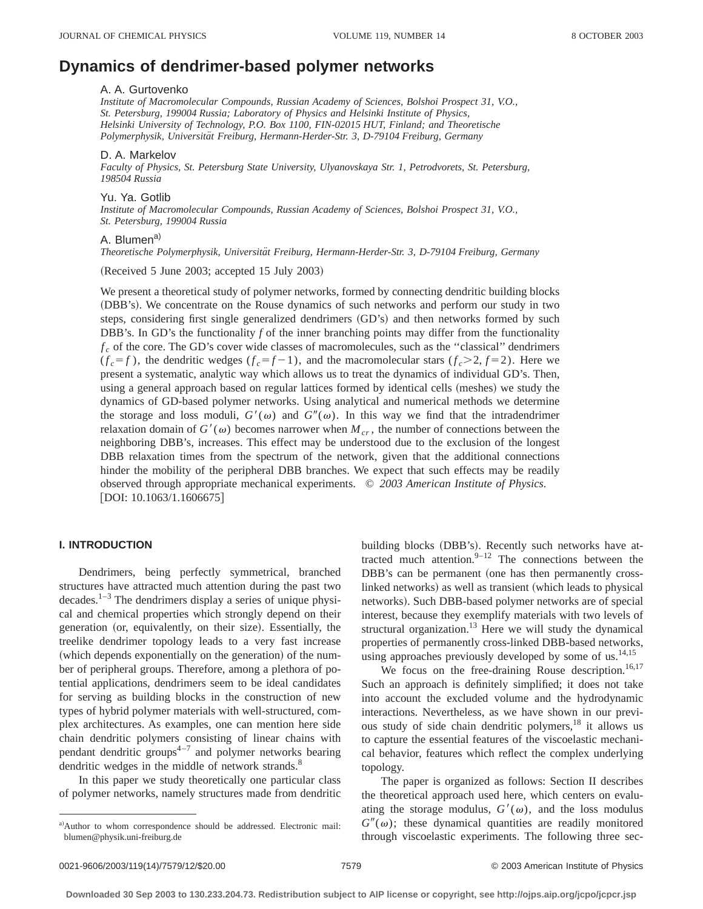# **Dynamics of dendrimer-based polymer networks**

#### A. A. Gurtovenko

*Institute of Macromolecular Compounds, Russian Academy of Sciences, Bolshoi Prospect 31, V.O., St. Petersburg, 199004 Russia; Laboratory of Physics and Helsinki Institute of Physics, Helsinki University of Technology, P.O. Box 1100, FIN-02015 HUT, Finland; and Theoretische Polymerphysik, Universita¨t Freiburg, Hermann-Herder-Str. 3, D-79104 Freiburg, Germany*

## D. A. Markelov

*Faculty of Physics, St. Petersburg State University, Ulyanovskaya Str. 1, Petrodvorets, St. Petersburg, 198504 Russia*

# Yu. Ya. Gotlib

*Institute of Macromolecular Compounds, Russian Academy of Sciences, Bolshoi Prospect 31, V.O., St. Petersburg, 199004 Russia*

# A. Blumen<sup>a)</sup>

*Theoretische Polymerphysik, Universita¨t Freiburg, Hermann-Herder-Str. 3, D-79104 Freiburg, Germany*

 $(Received 5 June 2003; accepted 15 July 2003)$ 

We present a theoretical study of polymer networks, formed by connecting dendritic building blocks (DBB's). We concentrate on the Rouse dynamics of such networks and perform our study in two steps, considering first single generalized dendrimers (GD's) and then networks formed by such DBB's. In GD's the functionality *f* of the inner branching points may differ from the functionality  $f_c$  of the core. The GD's cover wide classes of macromolecules, such as the "classical" dendrimers  $(f_c = f)$ , the dendritic wedges  $(f_c = f - 1)$ , and the macromolecular stars  $(f_c > 2, f = 2)$ . Here we present a systematic, analytic way which allows us to treat the dynamics of individual GD's. Then, using a general approach based on regular lattices formed by identical cells (meshes) we study the dynamics of GD-based polymer networks. Using analytical and numerical methods we determine the storage and loss moduli,  $G'(\omega)$  and  $G''(\omega)$ . In this way we find that the intradendrimer relaxation domain of  $G'(\omega)$  becomes narrower when  $M_{cr}$ , the number of connections between the neighboring DBB's, increases. This effect may be understood due to the exclusion of the longest DBB relaxation times from the spectrum of the network, given that the additional connections hinder the mobility of the peripheral DBB branches. We expect that such effects may be readily observed through appropriate mechanical experiments. © *2003 American Institute of Physics.*  $[$ DOI: 10.1063/1.1606675 $]$ 

# **I. INTRODUCTION**

Dendrimers, being perfectly symmetrical, branched structures have attracted much attention during the past two  $decades$ <sup>1–3</sup>. The dendrimers display a series of unique physical and chemical properties which strongly depend on their generation (or, equivalently, on their size). Essentially, the treelike dendrimer topology leads to a very fast increase (which depends exponentially on the generation) of the number of peripheral groups. Therefore, among a plethora of potential applications, dendrimers seem to be ideal candidates for serving as building blocks in the construction of new types of hybrid polymer materials with well-structured, complex architectures. As examples, one can mention here side chain dendritic polymers consisting of linear chains with pendant dendritic groups<sup> $4-7$ </sup> and polymer networks bearing dendritic wedges in the middle of network strands.<sup>8</sup>

In this paper we study theoretically one particular class of polymer networks, namely structures made from dendritic building blocks (DBB's). Recently such networks have attracted much attention. $9-12$  The connections between the DBB's can be permanent (one has then permanently crosslinked networks) as well as transient (which leads to physical networks). Such DBB-based polymer networks are of special interest, because they exemplify materials with two levels of structural organization. $13$  Here we will study the dynamical properties of permanently cross-linked DBB-based networks, using approaches previously developed by some of us. $^{14,15}$ 

We focus on the free-draining Rouse description.<sup>16,17</sup> Such an approach is definitely simplified; it does not take into account the excluded volume and the hydrodynamic interactions. Nevertheless, as we have shown in our previous study of side chain dendritic polymers,<sup>18</sup> it allows us to capture the essential features of the viscoelastic mechanical behavior, features which reflect the complex underlying topology.

The paper is organized as follows: Section II describes the theoretical approach used here, which centers on evaluating the storage modulus,  $G'(\omega)$ , and the loss modulus  $G''(\omega)$ ; these dynamical quantities are readily monitored through viscoelastic experiments. The following three sec-

a)Author to whom correspondence should be addressed. Electronic mail: blumen@physik.uni-freiburg.de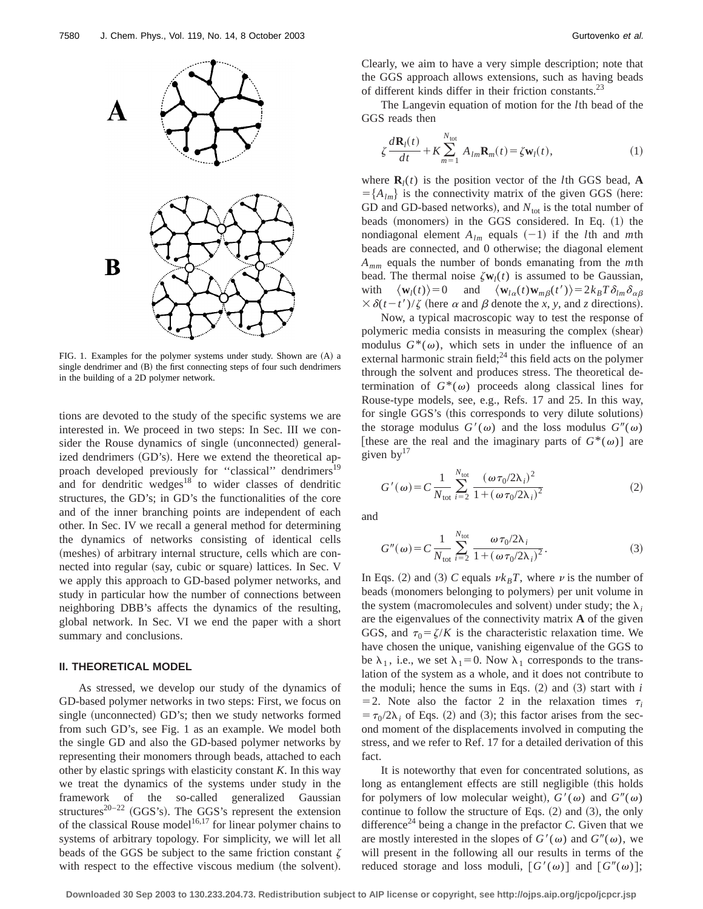

FIG. 1. Examples for the polymer systems under study. Shown are (A) a single dendrimer and (B) the first connecting steps of four such dendrimers in the building of a 2D polymer network.

tions are devoted to the study of the specific systems we are interested in. We proceed in two steps: In Sec. III we consider the Rouse dynamics of single (unconnected) generalized dendrimers (GD's). Here we extend the theoretical approach developed previously for "classical" dendrimers<sup>19</sup> and for dendritic wedges $18$  to wider classes of dendritic structures, the GD's; in GD's the functionalities of the core and of the inner branching points are independent of each other. In Sec. IV we recall a general method for determining the dynamics of networks consisting of identical cells (meshes) of arbitrary internal structure, cells which are connected into regular (say, cubic or square) lattices. In Sec. V we apply this approach to GD-based polymer networks, and study in particular how the number of connections between neighboring DBB's affects the dynamics of the resulting, global network. In Sec. VI we end the paper with a short summary and conclusions.

# **II. THEORETICAL MODEL**

As stressed, we develop our study of the dynamics of GD-based polymer networks in two steps: First, we focus on single (unconnected) GD's; then we study networks formed from such GD's, see Fig. 1 as an example. We model both the single GD and also the GD-based polymer networks by representing their monomers through beads, attached to each other by elastic springs with elasticity constant *K*. In this way we treat the dynamics of the systems under study in the framework of the so-called generalized Gaussian structures<sup>20–22</sup> (GGS's). The GGS's represent the extension of the classical Rouse model<sup>16,17</sup> for linear polymer chains to systems of arbitrary topology. For simplicity, we will let all beads of the GGS be subject to the same friction constant  $\zeta$ with respect to the effective viscous medium (the solvent). Clearly, we aim to have a very simple description; note that the GGS approach allows extensions, such as having beads of different kinds differ in their friction constants.<sup>23</sup>

The Langevin equation of motion for the *l*th bead of the GGS reads then

$$
\zeta \frac{d\mathbf{R}_l(t)}{dt} + K \sum_{m=1}^{N_{\text{tot}}} A_{lm} \mathbf{R}_m(t) = \zeta \mathbf{w}_l(t), \qquad (1)
$$

where  $\mathbf{R}_i(t)$  is the position vector of the *l*th GGS bead, **A**  $=\{A_{lm}\}\$ is the connectivity matrix of the given GGS (here: GD and GD-based networks), and  $N_{\text{tot}}$  is the total number of beads (monomers) in the GGS considered. In Eq.  $(1)$  the nondiagonal element  $A_{lm}$  equals  $(-1)$  if the *l*th and *m*th beads are connected, and 0 otherwise; the diagonal element *Amm* equals the number of bonds emanating from the *m*th bead. The thermal noise  $\zeta \mathbf{w}_l(t)$  is assumed to be Gaussian, with  $\langle \mathbf{w}_l(t) \rangle = 0$  and  $\langle \mathbf{w}_{l\alpha}(t) \mathbf{w}_{m\beta}(t') \rangle = 2k_B T \delta_{lm} \delta_{\alpha\beta}$  $\frac{3}{2}$   $\frac{\delta(t-t')}{\zeta}$  (here  $\alpha$  and  $\beta$  denote the *x*, *y*, and *z* directions).

Now, a typical macroscopic way to test the response of polymeric media consists in measuring the complex (shear) modulus  $G^*(\omega)$ , which sets in under the influence of an external harmonic strain field; $^{24}$  this field acts on the polymer through the solvent and produces stress. The theoretical determination of  $G^*(\omega)$  proceeds along classical lines for Rouse-type models, see, e.g., Refs. 17 and 25. In this way, for single GGS's (this corresponds to very dilute solutions) the storage modulus  $G'(\omega)$  and the loss modulus  $G''(\omega)$ [these are the real and the imaginary parts of  $G^*(\omega)$ ] are given  $by<sup>17</sup>$ 

$$
G'(\omega) = C \frac{1}{N_{\text{tot}}} \sum_{i=2}^{N_{\text{tot}}} \frac{(\omega \tau_0 / 2\lambda_i)^2}{1 + (\omega \tau_0 / 2\lambda_i)^2}
$$
(2)

and

$$
G''(\omega) = C \frac{1}{N_{\text{tot}}} \sum_{i=2}^{N_{\text{tot}}} \frac{\omega \tau_0 / 2\lambda_i}{1 + (\omega \tau_0 / 2\lambda_i)^2}.
$$
 (3)

In Eqs. (2) and (3) *C* equals  $\nu k_BT$ , where  $\nu$  is the number of beads (monomers belonging to polymers) per unit volume in the system (macromolecules and solvent) under study; the  $\lambda_i$ are the eigenvalues of the connectivity matrix **A** of the given GGS, and  $\tau_0 = \zeta/K$  is the characteristic relaxation time. We have chosen the unique, vanishing eigenvalue of the GGS to be  $\lambda_1$ , i.e., we set  $\lambda_1=0$ . Now  $\lambda_1$  corresponds to the translation of the system as a whole, and it does not contribute to the moduli; hence the sums in Eqs.  $(2)$  and  $(3)$  start with *i*  $=$  2. Note also the factor 2 in the relaxation times  $\tau_i$  $t = \tau_0/2\lambda_i$  of Eqs. (2) and (3); this factor arises from the second moment of the displacements involved in computing the stress, and we refer to Ref. 17 for a detailed derivation of this fact.

It is noteworthy that even for concentrated solutions, as long as entanglement effects are still negligible (this holds for polymers of low molecular weight),  $G'(\omega)$  and  $G''(\omega)$ continue to follow the structure of Eqs.  $(2)$  and  $(3)$ , the only difference<sup>24</sup> being a change in the prefactor  $C$ . Given that we are mostly interested in the slopes of  $G'(\omega)$  and  $G''(\omega)$ , we will present in the following all our results in terms of the reduced storage and loss moduli,  $[G'(\omega)]$  and  $[G''(\omega)]$ ;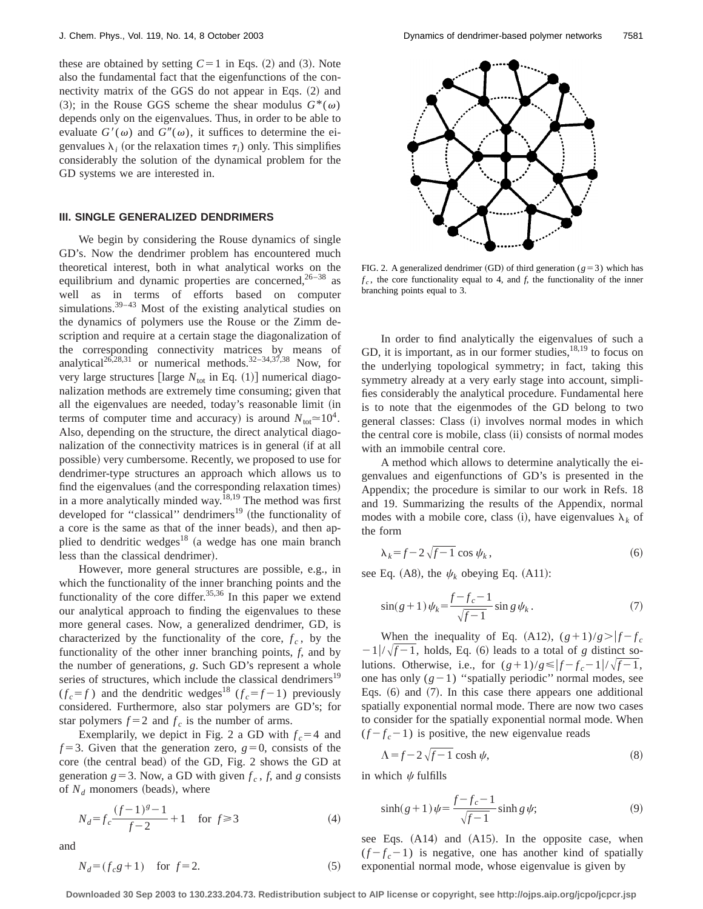these are obtained by setting  $C=1$  in Eqs. (2) and (3). Note also the fundamental fact that the eigenfunctions of the connectivity matrix of the GGS do not appear in Eqs.  $(2)$  and (3); in the Rouse GGS scheme the shear modulus  $G^*(\omega)$ depends only on the eigenvalues. Thus, in order to be able to evaluate  $G'(\omega)$  and  $G''(\omega)$ , it suffices to determine the eigenvalues  $\lambda_i$  (or the relaxation times  $\tau_i$ ) only. This simplifies considerably the solution of the dynamical problem for the GD systems we are interested in.

## **III. SINGLE GENERALIZED DENDRIMERS**

We begin by considering the Rouse dynamics of single GD's. Now the dendrimer problem has encountered much theoretical interest, both in what analytical works on the equilibrium and dynamic properties are concerned,  $26-38$  as well as in terms of efforts based on computer simulations.<sup>39-43</sup> Most of the existing analytical studies on the dynamics of polymers use the Rouse or the Zimm description and require at a certain stage the diagonalization of the corresponding connectivity matrices by means of analytical<sup>26,28,31</sup> or numerical methods.<sup>32-34,37,38</sup> Now, for very large structures [large  $N_{\text{tot}}$  in Eq. (1)] numerical diagonalization methods are extremely time consuming; given that all the eigenvalues are needed, today's reasonable limit (in terms of computer time and accuracy) is around  $N_{\text{tot}} \approx 10^4$ . Also, depending on the structure, the direct analytical diagonalization of the connectivity matrices is in general (if at all possible) very cumbersome. Recently, we proposed to use for dendrimer-type structures an approach which allows us to find the eigenvalues (and the corresponding relaxation times) in a more analytically minded way.18,19 The method was first developed for "classical" dendrimers<sup>19</sup> (the functionality of a core is the same as that of the inner beads), and then applied to dendritic wedges<sup>18</sup> (a wedge has one main branch less than the classical dendrimer).

However, more general structures are possible, e.g., in which the functionality of the inner branching points and the functionality of the core differ.<sup>35,36</sup> In this paper we extend our analytical approach to finding the eigenvalues to these more general cases. Now, a generalized dendrimer, GD, is characterized by the functionality of the core,  $f_c$ , by the functionality of the other inner branching points, *f*, and by the number of generations, *g*. Such GD's represent a whole series of structures, which include the classical dendrimers<sup>19</sup>  $(f_c = f)$  and the dendritic wedges<sup>18</sup>  $(f_c = f - 1)$  previously considered. Furthermore, also star polymers are GD's; for star polymers  $f=2$  and  $f_c$  is the number of arms.

Exemplarily, we depict in Fig. 2 a GD with  $f_c = 4$  and  $f=3$ . Given that the generation zero,  $g=0$ , consists of the  $core$  (the central bead) of the GD, Fig. 2 shows the GD at generation  $g = 3$ . Now, a GD with given  $f_c$ ,  $f$ , and  $g$  consists of  $N_d$  monomers (beads), where

$$
N_d = f_c \frac{(f-1)^g - 1}{f-2} + 1 \quad \text{for } f \ge 3
$$
 (4)

and

$$
N_d = (f_c g + 1) \quad \text{for } f = 2.
$$



FIG. 2. A generalized dendrimer (GD) of third generation ( $g=3$ ) which has  $f_c$ , the core functionality equal to 4, and  $f$ , the functionality of the inner branching points equal to 3.

In order to find analytically the eigenvalues of such a GD, it is important, as in our former studies,  $^{18,19}$  to focus on the underlying topological symmetry; in fact, taking this symmetry already at a very early stage into account, simplifies considerably the analytical procedure. Fundamental here is to note that the eigenmodes of the GD belong to two general classes: Class (i) involves normal modes in which the central core is mobile, class (ii) consists of normal modes with an immobile central core.

A method which allows to determine analytically the eigenvalues and eigenfunctions of GD's is presented in the Appendix; the procedure is similar to our work in Refs. 18 and 19. Summarizing the results of the Appendix, normal modes with a mobile core, class (i), have eigenvalues  $\lambda_k$  of the form

$$
\lambda_k = f - 2\sqrt{f - 1} \cos \psi_k, \tag{6}
$$

see Eq. (A8), the  $\psi_k$  obeying Eq. (A11):

$$
\sin(g+1)\psi_k = \frac{f-f_c - 1}{\sqrt{f - 1}} \sin g \psi_k.
$$
 (7)

When the inequality of Eq. (A12),  $(g+1)/g$ .  $-1/\sqrt{f-1}$ , holds, Eq. (6) leads to a total of *g* distinct solutions. Otherwise, i.e., for  $(g+1)/g \le |f-f_c-1|/\sqrt{f-1}$ , one has only  $(g-1)$  "spatially periodic" normal modes, see Eqs.  $(6)$  and  $(7)$ . In this case there appears one additional spatially exponential normal mode. There are now two cases to consider for the spatially exponential normal mode. When  $(f - f_c - 1)$  is positive, the new eigenvalue reads

$$
\Lambda = f - 2\sqrt{f - 1} \cosh \psi,\tag{8}
$$

in which  $\psi$  fulfills

$$
\sinh(g+1)\psi = \frac{f-f_c-1}{\sqrt{f-1}}\sinh g\,\psi;\tag{9}
$$

see Eqs.  $(A14)$  and  $(A15)$ . In the opposite case, when  $(f - f_c - 1)$  is negative, one has another kind of spatially exponential normal mode, whose eigenvalue is given by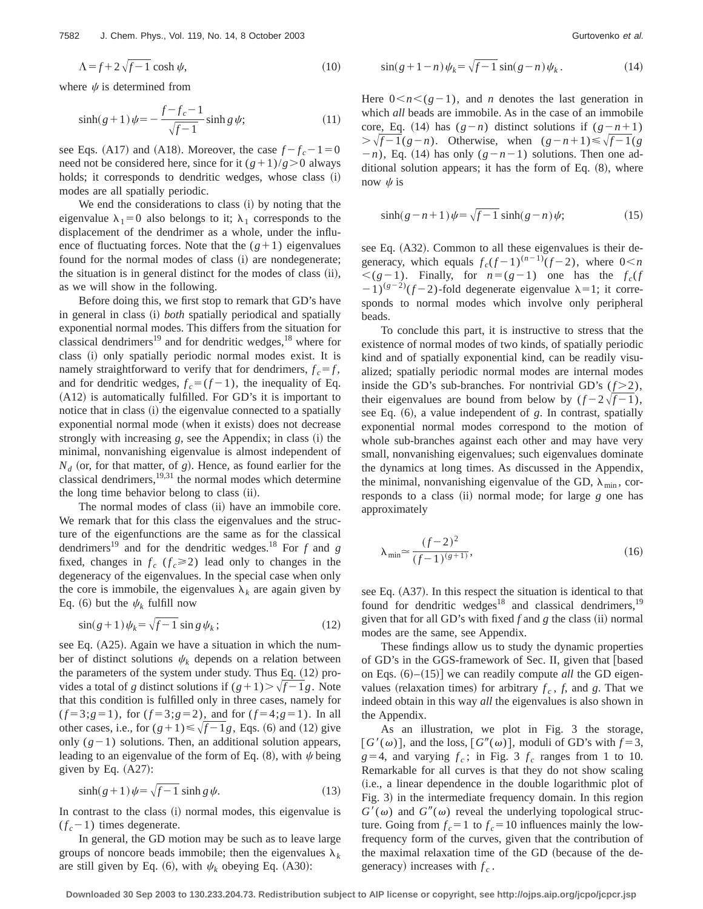$$
\Lambda = f + 2\sqrt{f - 1} \cosh \psi,\tag{10}
$$

where  $\psi$  is determined from

$$
\sinh(g+1)\psi = -\frac{f-f_c-1}{\sqrt{f-1}}\sinh g\,\psi;\tag{11}
$$

see Eqs. (A17) and (A18). Moreover, the case  $f - f_c - 1 = 0$ need not be considered here, since for it  $(g+1)/g$ .0 always holds; it corresponds to dendritic wedges, whose class  $(i)$ modes are all spatially periodic.

We end the considerations to class  $(i)$  by noting that the eigenvalue  $\lambda_1=0$  also belongs to it;  $\lambda_1$  corresponds to the displacement of the dendrimer as a whole, under the influence of fluctuating forces. Note that the  $(g+1)$  eigenvalues found for the normal modes of class (i) are nondegenerate; the situation is in general distinct for the modes of class  $(ii)$ , as we will show in the following.

Before doing this, we first stop to remark that GD's have in general in class (i) *both* spatially periodical and spatially exponential normal modes. This differs from the situation for classical dendrimers<sup>19</sup> and for dendritic wedges,<sup>18</sup> where for class (i) only spatially periodic normal modes exist. It is namely straightforward to verify that for dendrimers,  $f_c = f$ , and for dendritic wedges,  $f_c = (f - 1)$ , the inequality of Eq.  $(A12)$  is automatically fulfilled. For GD's it is important to notice that in class (i) the eigenvalue connected to a spatially exponential normal mode (when it exists) does not decrease strongly with increasing  $g$ , see the Appendix; in class  $(i)$  the minimal, nonvanishing eigenvalue is almost independent of  $N_d$  (or, for that matter, of *g*). Hence, as found earlier for the classical dendrimers, $19,31$  the normal modes which determine the long time behavior belong to class (ii).

The normal modes of class (ii) have an immobile core. We remark that for this class the eigenvalues and the structure of the eigenfunctions are the same as for the classical dendrimers19 and for the dendritic wedges.18 For *f* and *g* fixed, changes in  $f_c$  ( $f_c \ge 2$ ) lead only to changes in the degeneracy of the eigenvalues. In the special case when only the core is immobile, the eigenvalues  $\lambda_k$  are again given by Eq. (6) but the  $\psi_k$  fulfill now

$$
\sin(g+1)\psi_k = \sqrt{f-1}\sin g\,\psi_k\,;\tag{12}
$$

see Eq.  $(A25)$ . Again we have a situation in which the number of distinct solutions  $\psi_k$  depends on a relation between the parameters of the system under study. Thus Eq.  $(12)$  provides a total of *g* distinct solutions if  $(g+1)$ . Note that this condition is fulfilled only in three cases, namely for  $(f=3; g=1)$ , for  $(f=3; g=2)$ , and for  $(f=4; g=1)$ . In all other cases, i.e., for  $(g+1) \le \sqrt{f-1}g$ , Eqs. (6) and (12) give only  $(g-1)$  solutions. Then, an additional solution appears, leading to an eigenvalue of the form of Eq.  $(8)$ , with  $\psi$  being given by Eq.  $(A27)$ :

$$
\sinh(g+1)\psi = \sqrt{f-1}\sinh g\psi.
$$
 (13)

In contrast to the class (i) normal modes, this eigenvalue is  $(f_c - 1)$  times degenerate.

In general, the GD motion may be such as to leave large groups of noncore beads immobile; then the eigenvalues  $\lambda_k$ are still given by Eq.  $(6)$ , with  $\psi_k$  obeying Eq.  $(A30)$ :

$$
\sin(g+1-n)\psi_k = \sqrt{f-1}\,\sin(g-n)\psi_k\,. \tag{14}
$$

Here  $0 \le n \le (g-1)$ , and *n* denotes the last generation in which *all* beads are immobile. As in the case of an immobile core, Eq. (14) has  $(g - n)$  distinct solutions if  $(g - n + 1)$  $\sqrt{f-1(g-n)}$ . Otherwise, when  $(g-n+1) \le \sqrt{f-1(g-n)}$  $(n-1)$ , Eq. (14) has only  $(g-n-1)$  solutions. Then one additional solution appears; it has the form of Eq.  $(8)$ , where now  $\psi$  is

$$
\sinh(g - n + 1)\psi = \sqrt{f - 1}\sinh(g - n)\psi;\tag{15}
$$

see Eq.  $(A32)$ . Common to all these eigenvalues is their degeneracy, which equals  $f_c(f-1)^{(n-1)}(f-2)$ , where  $0 \le n$  $\leq (g-1)$ . Finally, for  $n=(g-1)$  one has the  $f_c(f)$  $(2-1)^{(g-2)}(f-2)$ -fold degenerate eigenvalue  $\lambda=1$ ; it corresponds to normal modes which involve only peripheral beads.

To conclude this part, it is instructive to stress that the existence of normal modes of two kinds, of spatially periodic kind and of spatially exponential kind, can be readily visualized; spatially periodic normal modes are internal modes inside the GD's sub-branches. For nontrivial GD's  $(f>2)$ , their eigenvalues are bound from below by  $(f-2\sqrt{f}-1)$ , see Eq.  $(6)$ , a value independent of *g*. In contrast, spatially exponential normal modes correspond to the motion of whole sub-branches against each other and may have very small, nonvanishing eigenvalues; such eigenvalues dominate the dynamics at long times. As discussed in the Appendix, the minimal, nonvanishing eigenvalue of the GD,  $\lambda_{\min}$ , corresponds to a class (ii) normal mode; for large *g* one has approximately

$$
\lambda_{\min} \approx \frac{(f-2)^2}{(f-1)^{(g+1)}},\tag{16}
$$

see Eq. (A37). In this respect the situation is identical to that found for dendritic wedges<sup>18</sup> and classical dendrimers,<sup>19</sup> given that for all GD's with fixed  $f$  and  $g$  the class (ii) normal modes are the same, see Appendix.

These findings allow us to study the dynamic properties of GD's in the GGS-framework of Sec. II, given that [based] on Eqs.  $(6)$ – $(15)$ ] we can readily compute *all* the GD eigenvalues (relaxation times) for arbitrary  $f_c$ ,  $f$ , and  $g$ . That we indeed obtain in this way *all* the eigenvalues is also shown in the Appendix.

As an illustration, we plot in Fig. 3 the storage,  $[G'(\omega)]$ , and the loss,  $[G''(\omega)]$ , moduli of GD's with  $f=3$ ,  $g=4$ , and varying  $f_c$ ; in Fig. 3  $f_c$  ranges from 1 to 10. Remarkable for all curves is that they do not show scaling (i.e., a linear dependence in the double logarithmic plot of Fig. 3) in the intermediate frequency domain. In this region  $G'(\omega)$  and  $G''(\omega)$  reveal the underlying topological structure. Going from  $f_c = 1$  to  $f_c = 10$  influences mainly the lowfrequency form of the curves, given that the contribution of the maximal relaxation time of the GD (because of the degeneracy) increases with  $f_c$ .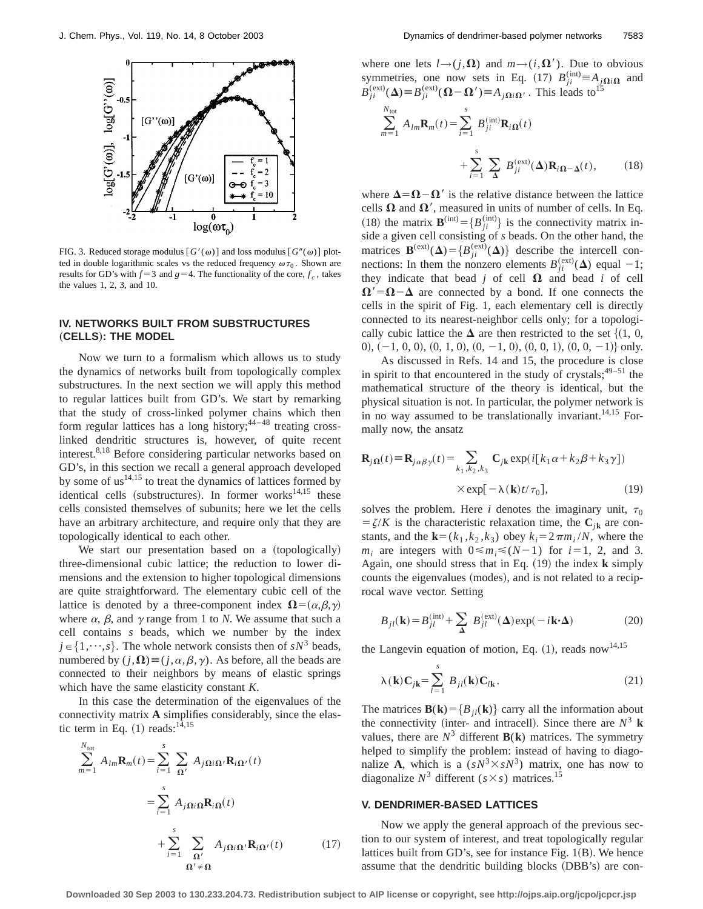

FIG. 3. Reduced storage modulus  $[G'(\omega)]$  and loss modulus  $[G''(\omega)]$  plotted in double logarithmic scales vs the reduced frequency  $\omega \tau_0$ . Shown are results for GD's with  $f=3$  and  $g=4$ . The functionality of the core,  $f_c$ , takes the values 1, 2, 3, and 10.

# **IV. NETWORKS BUILT FROM SUBSTRUCTURES** "**CELLS**…**: THE MODEL**

Now we turn to a formalism which allows us to study the dynamics of networks built from topologically complex substructures. In the next section we will apply this method to regular lattices built from GD's. We start by remarking that the study of cross-linked polymer chains which then form regular lattices has a long history;  $44-48$  treating crosslinked dendritic structures is, however, of quite recent interest.<sup>8,18</sup> Before considering particular networks based on GD's, in this section we recall a general approach developed by some of  $us^{14,15}$  to treat the dynamics of lattices formed by identical cells (substructures). In former works $14,15$  these cells consisted themselves of subunits; here we let the cells have an arbitrary architecture, and require only that they are topologically identical to each other.

We start our presentation based on a (topologically) three-dimensional cubic lattice; the reduction to lower dimensions and the extension to higher topological dimensions are quite straightforward. The elementary cubic cell of the lattice is denoted by a three-component index  $\mathbf{\Omega} = (\alpha, \beta, \gamma)$ where  $\alpha$ ,  $\beta$ , and  $\gamma$  range from 1 to *N*. We assume that such a cell contains *s* beads, which we number by the index  $j \in \{1, \dots, s\}$ . The whole network consists then of  $sN^3$  beads, numbered by  $(j,\Omega) \equiv (j,\alpha,\beta,\gamma)$ . As before, all the beads are connected to their neighbors by means of elastic springs which have the same elasticity constant *K*.

In this case the determination of the eigenvalues of the connectivity matrix **A** simplifies considerably, since the elastic term in Eq.  $(1)$  reads:<sup>14,15</sup>

$$
\sum_{m=1}^{N_{\text{tot}}} A_{lm} \mathbf{R}_m(t) = \sum_{i=1}^{s} \sum_{\mathbf{\Omega}'} A_{j\mathbf{\Omega}i\mathbf{\Omega}'} \mathbf{R}_{i\mathbf{\Omega}'}(t)
$$

$$
= \sum_{i=1}^{s} A_{j\mathbf{\Omega}i\mathbf{\Omega}} \mathbf{R}_{i\mathbf{\Omega}}(t)
$$

$$
+ \sum_{i=1}^{s} \sum_{\mathbf{\Omega}'} A_{j\mathbf{\Omega}i\mathbf{\Omega}'} \mathbf{R}_{i\mathbf{\Omega}'}(t) \qquad (17)
$$

where one lets  $l \rightarrow (j,\Omega)$  and  $m \rightarrow (i,\Omega')$ . Due to obvious symmetries, one now sets in Eq. (17)  $B_{ji}^{(\text{int})} \equiv A_{j\Omega i\Omega}$  and  $B_{ji}^{(ext)}(\Delta) \equiv B_{ji}^{(ext)}(\Omega - \Omega') \equiv A_{j\Omega i\Omega'}$ . This leads to<sup>15</sup>

*m*<sup>1</sup>

$$
\sum_{n=1}^{N_{\text{tot}}} A_{lm} \mathbf{R}_m(t) = \sum_{i=1}^{s} B_{ji}^{(\text{int})} \mathbf{R}_{i\Omega}(t)
$$

$$
+ \sum_{i=1}^{s} \sum_{\Delta} B_{ji}^{(\text{ext})}(\Delta) \mathbf{R}_{i\Omega - \Delta}(t), \qquad (18)
$$

where  $\Delta = \Omega - \Omega'$  is the relative distance between the lattice cells  $\Omega$  and  $\Omega'$ , measured in units of number of cells. In Eq. (18) the matrix  $\mathbf{B}^{(\text{int})} = \{B_{ji}^{(\text{int})}\}\$ is the connectivity matrix inside a given cell consisting of *s* beads. On the other hand, the matrices  $\mathbf{B}^{(ext)}(\Delta) = \{B_{ji}^{(ext)}(\Delta)\}\)$  describe the intercell connections: In them the nonzero elements  $B_{ji}^{(ext)}(\Delta)$  equal -1; they indicate that bead  $j$  of cell  $\Omega$  and bead  $i$  of cell  $\Omega' = \Omega - \Delta$  are connected by a bond. If one connects the cells in the spirit of Fig. 1, each elementary cell is directly connected to its nearest-neighbor cells only; for a topologically cubic lattice the  $\Delta$  are then restricted to the set  $\{(1, 0, 1)\}$ 0),  $(-1, 0, 0)$ ,  $(0, 1, 0)$ ,  $(0, -1, 0)$ ,  $(0, 0, 1)$ ,  $(0, 0, -1)$  only.

As discussed in Refs. 14 and 15, the procedure is close in spirit to that encountered in the study of crystals;  $49-51$  the mathematical structure of the theory is identical, but the physical situation is not. In particular, the polymer network is in no way assumed to be translationally invariant.<sup>14,15</sup> Formally now, the ansatz

$$
\mathbf{R}_{j\Omega}(t) \equiv \mathbf{R}_{j\alpha\beta\gamma}(t) = \sum_{k_1, k_2, k_3} \mathbf{C}_{j\mathbf{k}} \exp(i[k_1\alpha + k_2\beta + k_3\gamma])
$$
  
× $\exp[-\lambda(\mathbf{k})t/\tau_0],$  (19)

solves the problem. Here *i* denotes the imaginary unit,  $\tau_0$  $=\zeta/K$  is the characteristic relaxation time, the  $C_{ik}$  are constants, and the **k**=( $k_1$ , $k_2$ , $k_3$ ) obey  $k_i=2\pi m_i/N$ , where the *m<sub>i</sub>* are integers with  $0 \le m_i \le (N-1)$  for  $i=1, 2,$  and 3. Again, one should stress that in Eq.  $(19)$  the index  $\bf{k}$  simply counts the eigenvalues (modes), and is not related to a reciprocal wave vector. Setting

$$
B_{jl}(\mathbf{k}) = B_{jl}^{(\text{int})} + \sum_{\Delta} B_{jl}^{(\text{ext})}(\Delta) \exp(-i\mathbf{k} \cdot \Delta)
$$
 (20)

the Langevin equation of motion, Eq.  $(1)$ , reads now<sup>14,15</sup>

$$
\lambda(\mathbf{k})\mathbf{C}_{jk} = \sum_{l=1}^{s} B_{jl}(\mathbf{k})\mathbf{C}_{lk}.
$$
 (21)

The matrices  $\mathbf{B}(\mathbf{k}) = \{B_{il}(\mathbf{k})\}\)$  carry all the information about the connectivity (inter- and intracell). Since there are  $N^3$  **k** values, there are  $N^3$  different  $\mathbf{B}(\mathbf{k})$  matrices. The symmetry helped to simplify the problem: instead of having to diagonalize **A**, which is a  $(sN^3 \times sN^3)$  matrix, one has now to diagonalize  $N^3$  different ( $s \times s$ ) matrices.<sup>15</sup>

#### **V. DENDRIMER-BASED LATTICES**

Now we apply the general approach of the previous section to our system of interest, and treat topologically regular lattices built from GD's, see for instance Fig.  $1(B)$ . We hence assume that the dendritic building blocks (DBB's) are con-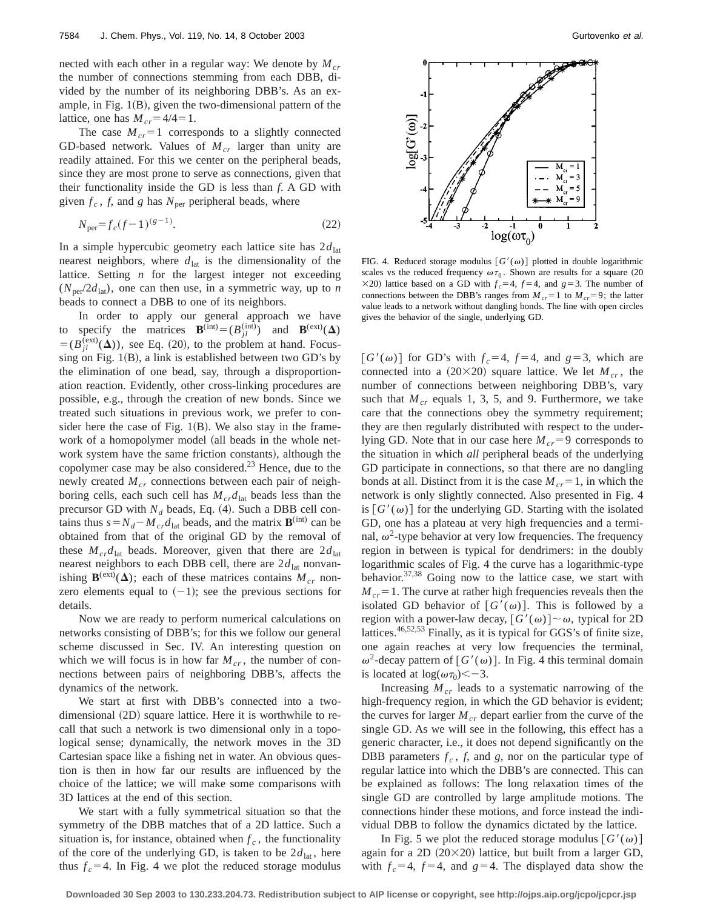nected with each other in a regular way: We denote by  $M_{cr}$ the number of connections stemming from each DBB, divided by the number of its neighboring DBB's. As an example, in Fig.  $1(B)$ , given the two-dimensional pattern of the lattice, one has  $M_{cr} = 4/4 = 1$ .

The case  $M_{cr}$ =1 corresponds to a slightly connected GD-based network. Values of  $M_{cr}$  larger than unity are readily attained. For this we center on the peripheral beads, since they are most prone to serve as connections, given that their functionality inside the GD is less than *f*. A GD with given  $f_c$ ,  $f$ , and  $g$  has  $N_{\text{per}}$  peripheral beads, where

$$
N_{\text{per}} = f_c (f - 1)^{(g - 1)}.
$$
\n(22)

In a simple hypercubic geometry each lattice site has  $2d_{\text{lat}}$ nearest neighbors, where  $d<sub>lat</sub>$  is the dimensionality of the lattice. Setting *n* for the largest integer not exceeding  $(N_{\text{per}}/2d_{\text{lat}})$ , one can then use, in a symmetric way, up to *n* beads to connect a DBB to one of its neighbors.

In order to apply our general approach we have to specify the matrices **B**<sup>(int)</sup>)  $(B_{jl}$ <sup>(int)</sup>) and **B**<sup>(ext)</sup>( $\Delta$ )  $=(B_{jl}^{(ext)}(\Delta))$ , see Eq. (20), to the problem at hand. Focussing on Fig.  $1(B)$ , a link is established between two GD's by the elimination of one bead, say, through a disproportionation reaction. Evidently, other cross-linking procedures are possible, e.g., through the creation of new bonds. Since we treated such situations in previous work, we prefer to consider here the case of Fig.  $1(B)$ . We also stay in the framework of a homopolymer model (all beads in the whole network system have the same friction constants), although the copolymer case may be also considered. $^{23}$  Hence, due to the newly created  $M_{cr}$  connections between each pair of neighboring cells, each such cell has  $M_{cr}d_{\text{lat}}$  beads less than the precursor GD with  $N_d$  beads, Eq. (4). Such a DBB cell contains thus  $s = N_d - M_{cr}d_{\text{lat}}$  beads, and the matrix **B**<sup>(int)</sup> can be obtained from that of the original GD by the removal of these  $M_{cr}d_{\text{lat}}$  beads. Moreover, given that there are  $2d_{\text{lat}}$ nearest neighbors to each DBB cell, there are  $2d_{\text{lat}}$  nonvanishing  $\mathbf{B}^{(ext)}(\Delta)$ ; each of these matrices contains  $M_{cr}$  nonzero elements equal to  $(-1)$ ; see the previous sections for details.

Now we are ready to perform numerical calculations on networks consisting of DBB's; for this we follow our general scheme discussed in Sec. IV. An interesting question on which we will focus is in how far  $M_{cr}$ , the number of connections between pairs of neighboring DBB's, affects the dynamics of the network.

We start at first with DBB's connected into a twodimensional  $(2D)$  square lattice. Here it is worthwhile to recall that such a network is two dimensional only in a topological sense; dynamically, the network moves in the 3D Cartesian space like a fishing net in water. An obvious question is then in how far our results are influenced by the choice of the lattice; we will make some comparisons with 3D lattices at the end of this section.

We start with a fully symmetrical situation so that the symmetry of the DBB matches that of a 2D lattice. Such a situation is, for instance, obtained when  $f_c$ , the functionality of the core of the underlying GD, is taken to be  $2d_{\text{lat}}$ , here thus  $f_c = 4$ . In Fig. 4 we plot the reduced storage modulus



FIG. 4. Reduced storage modulus  $[G'(\omega)]$  plotted in double logarithmic scales vs the reduced frequency  $\omega \tau_0$ . Shown are results for a square (20  $\times$ 20) lattice based on a GD with  $f_c$ =4,  $f$ =4, and  $g$ =3. The number of connections between the DBB's ranges from  $M_{cr} = 1$  to  $M_{cr} = 9$ ; the latter value leads to a network without dangling bonds. The line with open circles gives the behavior of the single, underlying GD.

 $[G'(\omega)]$  for GD's with  $f_c=4$ ,  $f=4$ , and  $g=3$ , which are connected into a  $(20\times20)$  square lattice. We let  $M_{cr}$ , the number of connections between neighboring DBB's, vary such that  $M_{cr}$  equals 1, 3, 5, and 9. Furthermore, we take care that the connections obey the symmetry requirement; they are then regularly distributed with respect to the underlying GD. Note that in our case here  $M_{cr}$ =9 corresponds to the situation in which *all* peripheral beads of the underlying GD participate in connections, so that there are no dangling bonds at all. Distinct from it is the case  $M_{cr} = 1$ , in which the network is only slightly connected. Also presented in Fig. 4 is  $[G'(\omega)]$  for the underlying GD. Starting with the isolated GD, one has a plateau at very high frequencies and a terminal,  $\omega^2$ -type behavior at very low frequencies. The frequency region in between is typical for dendrimers: in the doubly logarithmic scales of Fig. 4 the curve has a logarithmic-type behavior.<sup>37,38</sup> Going now to the lattice case, we start with  $M_{cr}$ =1. The curve at rather high frequencies reveals then the isolated GD behavior of  $[G'(\omega)]$ . This is followed by a region with a power-law decay,  $[G'(\omega)] \sim \omega$ , typical for 2D lattices.46,52,53 Finally, as it is typical for GGS's of finite size, one again reaches at very low frequencies the terminal,  $\omega^2$ -decay pattern of  $[G'(\omega)]$ . In Fig. 4 this terminal domain is located at  $\log(\omega \tau_0) < -3$ .

Increasing  $M_{cr}$  leads to a systematic narrowing of the high-frequency region, in which the GD behavior is evident; the curves for larger  $M_{cr}$  depart earlier from the curve of the single GD. As we will see in the following, this effect has a generic character, i.e., it does not depend significantly on the DBB parameters  $f_c$ ,  $f$ , and  $g$ , nor on the particular type of regular lattice into which the DBB's are connected. This can be explained as follows: The long relaxation times of the single GD are controlled by large amplitude motions. The connections hinder these motions, and force instead the individual DBB to follow the dynamics dictated by the lattice.

In Fig. 5 we plot the reduced storage modulus  $[G'(\omega)]$ again for a 2D  $(20\times20)$  lattice, but built from a larger GD, with  $f_c=4$ ,  $f=4$ , and  $g=4$ . The displayed data show the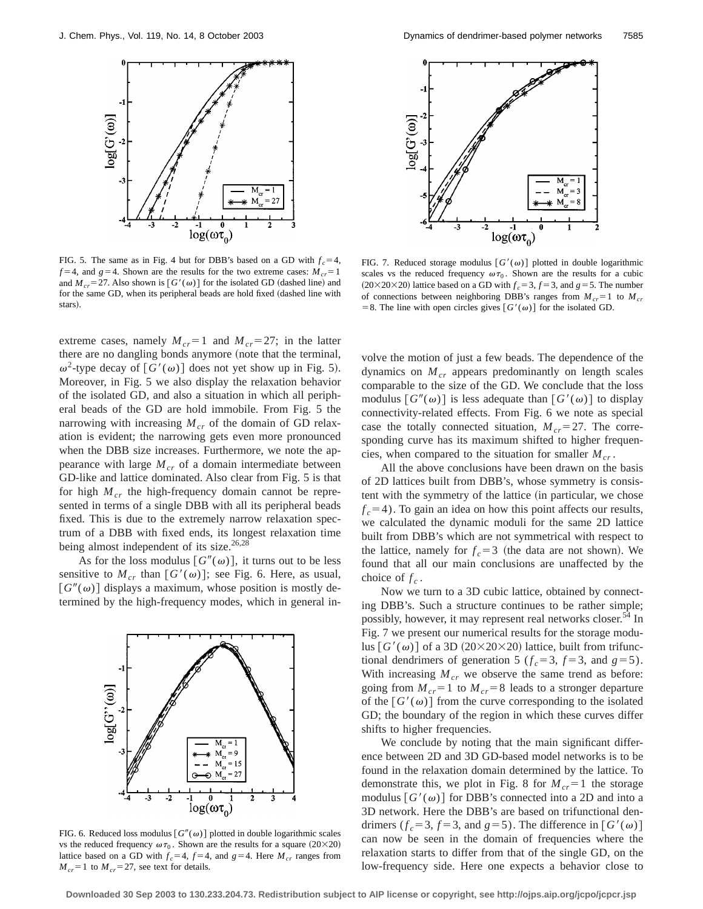

FIG. 5. The same as in Fig. 4 but for DBB's based on a GD with  $f_c = 4$ ,  $f=4$ , and  $g=4$ . Shown are the results for the two extreme cases:  $M_{cr}=1$ and  $M_{cr}$ =27. Also shown is  $[G'(\omega)]$  for the isolated GD (dashed line) and for the same GD, when its peripheral beads are hold fixed (dashed line with stars).

extreme cases, namely  $M_{cr} = 1$  and  $M_{cr} = 27$ ; in the latter there are no dangling bonds anymore (note that the terminal,  $\omega^2$ -type decay of  $[G'(\omega)]$  does not yet show up in Fig. 5). Moreover, in Fig. 5 we also display the relaxation behavior of the isolated GD, and also a situation in which all peripheral beads of the GD are hold immobile. From Fig. 5 the narrowing with increasing  $M_{cr}$  of the domain of GD relaxation is evident; the narrowing gets even more pronounced when the DBB size increases. Furthermore, we note the appearance with large  $M_{cr}$  of a domain intermediate between GD-like and lattice dominated. Also clear from Fig. 5 is that for high  $M_{cr}$  the high-frequency domain cannot be represented in terms of a single DBB with all its peripheral beads fixed. This is due to the extremely narrow relaxation spectrum of a DBB with fixed ends, its longest relaxation time being almost independent of its size. $26,28$ 

As for the loss modulus  $[G''(\omega)]$ , it turns out to be less sensitive to  $M_{cr}$  than  $[G'(\omega)]$ ; see Fig. 6. Here, as usual,  $[G''(\omega)]$  displays a maximum, whose position is mostly determined by the high-frequency modes, which in general in-



FIG. 6. Reduced loss modulus  $[G''(\omega)]$  plotted in double logarithmic scales vs the reduced frequency  $\omega \tau_0$ . Shown are the results for a square (20×20) lattice based on a GD with  $f_c = 4$ ,  $f = 4$ , and  $g = 4$ . Here  $M_{cr}$  ranges from  $M_{cr}$ =1 to  $M_{cr}$ =27, see text for details.



FIG. 7. Reduced storage modulus  $[G'(\omega)]$  plotted in double logarithmic scales vs the reduced frequency  $\omega \tau_0$ . Shown are the results for a cubic  $(20 \times 20 \times 20)$  lattice based on a GD with  $f_c = 3$ ,  $f = 3$ , and  $g = 5$ . The number of connections between neighboring DBB's ranges from  $M_{cr} = 1$  to  $M_{cr}$ = 8. The line with open circles gives  $[G'(\omega)]$  for the isolated GD.

volve the motion of just a few beads. The dependence of the dynamics on  $M_{cr}$  appears predominantly on length scales comparable to the size of the GD. We conclude that the loss modulus  $[G''(\omega)]$  is less adequate than  $[G'(\omega)]$  to display connectivity-related effects. From Fig. 6 we note as special case the totally connected situation,  $M_{cr}$ =27. The corresponding curve has its maximum shifted to higher frequencies, when compared to the situation for smaller  $M_{cr}$ .

All the above conclusions have been drawn on the basis of 2D lattices built from DBB's, whose symmetry is consistent with the symmetry of the lattice (in particular, we chose  $f_c$ =4). To gain an idea on how this point affects our results, we calculated the dynamic moduli for the same 2D lattice built from DBB's which are not symmetrical with respect to the lattice, namely for  $f_c = 3$  (the data are not shown). We found that all our main conclusions are unaffected by the choice of  $f_c$ .

Now we turn to a 3D cubic lattice, obtained by connecting DBB's. Such a structure continues to be rather simple; possibly, however, it may represent real networks closer.<sup>54</sup> In Fig. 7 we present our numerical results for the storage modulus  $[G'(\omega)]$  of a 3D (20×20×20) lattice, built from trifunctional dendrimers of generation 5 ( $f_c = 3$ ,  $f = 3$ , and  $g = 5$ ). With increasing  $M_{cr}$  we observe the same trend as before: going from  $M_{cr}$ =1 to  $M_{cr}$ =8 leads to a stronger departure of the  $[G'(\omega)]$  from the curve corresponding to the isolated GD; the boundary of the region in which these curves differ shifts to higher frequencies.

We conclude by noting that the main significant difference between 2D and 3D GD-based model networks is to be found in the relaxation domain determined by the lattice. To demonstrate this, we plot in Fig. 8 for  $M_{cr} = 1$  the storage modulus  $[G'(\omega)]$  for DBB's connected into a 2D and into a 3D network. Here the DBB's are based on trifunctional dendrimers ( $f_c = 3$ ,  $f = 3$ , and  $g = 5$ ). The difference in  $[G'(\omega)]$ can now be seen in the domain of frequencies where the relaxation starts to differ from that of the single GD, on the low-frequency side. Here one expects a behavior close to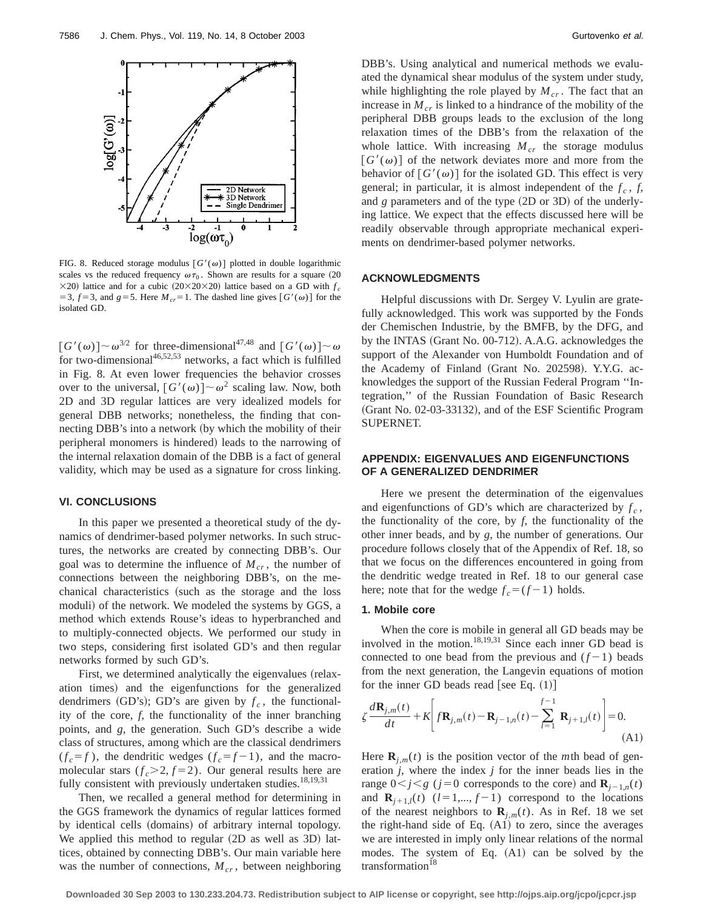

FIG. 8. Reduced storage modulus  $[G'(\omega)]$  plotted in double logarithmic scales vs the reduced frequency  $\omega \tau_0$ . Shown are results for a square (20  $\times$ 20) lattice and for a cubic (20 $\times$ 20 $\times$ 20) lattice based on a GD with  $f_c$ = 3,  $f$  = 3, and  $g$  = 5. Here  $M_{cr}$  = 1. The dashed line gives  $[G'(\omega)]$  for the isolated GD.

 $[G'(\omega)] \sim \omega^{3/2}$  for three-dimensional<sup>47,48</sup> and  $[G'(\omega)] \sim \omega$ for two-dimensional<sup>46,52,53</sup> networks, a fact which is fulfilled in Fig. 8. At even lower frequencies the behavior crosses over to the universal,  $[G'(\omega)] \sim \omega^2$  scaling law. Now, both 2D and 3D regular lattices are very idealized models for general DBB networks; nonetheless, the finding that connecting DBB's into a network (by which the mobility of their peripheral monomers is hindered) leads to the narrowing of the internal relaxation domain of the DBB is a fact of general validity, which may be used as a signature for cross linking.

# **VI. CONCLUSIONS**

In this paper we presented a theoretical study of the dynamics of dendrimer-based polymer networks. In such structures, the networks are created by connecting DBB's. Our goal was to determine the influence of  $M_{cr}$ , the number of connections between the neighboring DBB's, on the mechanical characteristics (such as the storage and the loss moduli) of the network. We modeled the systems by GGS, a method which extends Rouse's ideas to hyperbranched and to multiply-connected objects. We performed our study in two steps, considering first isolated GD's and then regular networks formed by such GD's.

First, we determined analytically the eigenvalues (relaxation times) and the eigenfunctions for the generalized dendrimers (GD's); GD's are given by  $f_c$ , the functionality of the core, *f*, the functionality of the inner branching points, and *g*, the generation. Such GD's describe a wide class of structures, among which are the classical dendrimers  $(f_c = f)$ , the dendritic wedges  $(f_c = f - 1)$ , and the macromolecular stars  $(f_c > 2, f = 2)$ . Our general results here are fully consistent with previously undertaken studies.<sup>18,19,31</sup>

Then, we recalled a general method for determining in the GGS framework the dynamics of regular lattices formed by identical cells (domains) of arbitrary internal topology. We applied this method to regular (2D as well as 3D) lattices, obtained by connecting DBB's. Our main variable here was the number of connections,  $M_{cr}$ , between neighboring DBB's. Using analytical and numerical methods we evaluated the dynamical shear modulus of the system under study, while highlighting the role played by  $M_{cr}$ . The fact that an increase in  $M_{cr}$  is linked to a hindrance of the mobility of the peripheral DBB groups leads to the exclusion of the long relaxation times of the DBB's from the relaxation of the whole lattice. With increasing  $M_{cr}$  the storage modulus  $[G'(\omega)]$  of the network deviates more and more from the behavior of  $[G'(\omega)]$  for the isolated GD. This effect is very general; in particular, it is almost independent of the  $f_c$ ,  $f$ , and *g* parameters and of the type (2D or 3D) of the underlying lattice. We expect that the effects discussed here will be readily observable through appropriate mechanical experiments on dendrimer-based polymer networks.

#### **ACKNOWLEDGMENTS**

Helpful discussions with Dr. Sergey V. Lyulin are gratefully acknowledged. This work was supported by the Fonds der Chemischen Industrie, by the BMFB, by the DFG, and by the INTAS (Grant No. 00-712). A.A.G. acknowledges the support of the Alexander von Humboldt Foundation and of the Academy of Finland (Grant No. 202598). Y.Y.G. acknowledges the support of the Russian Federal Program ''Integration,'' of the Russian Foundation of Basic Research (Grant No. 02-03-33132), and of the ESF Scientific Program SUPERNET.

# **APPENDIX: EIGENVALUES AND EIGENFUNCTIONS OF A GENERALIZED DENDRIMER**

Here we present the determination of the eigenvalues and eigenfunctions of GD's which are characterized by  $f_c$ , the functionality of the core, by *f*, the functionality of the other inner beads, and by *g*, the number of generations. Our procedure follows closely that of the Appendix of Ref. 18, so that we focus on the differences encountered in going from the dendritic wedge treated in Ref. 18 to our general case here; note that for the wedge  $f_c = (f - 1)$  holds.

#### **1. Mobile core**

When the core is mobile in general all GD beads may be involved in the motion.<sup>18,19,31</sup> Since each inner GD bead is connected to one bead from the previous and  $(f-1)$  beads from the next generation, the Langevin equations of motion for the inner GD beads read [see Eq.  $(1)$ ]

$$
\zeta \frac{d\mathbf{R}_{j,m}(t)}{dt} + K \left[ f\mathbf{R}_{j,m}(t) - \mathbf{R}_{j-1,n}(t) - \sum_{l=1}^{f-1} \mathbf{R}_{j+1,l}(t) \right] = 0.
$$
\n(A1)

Here  $\mathbf{R}_{i,m}(t)$  is the position vector of the *m*th bead of generation *j*, where the index *j* for the inner beads lies in the range  $0 \leq j \leq g$  (*j*=0 corresponds to the core) and  $\mathbf{R}_{i-1,n}(t)$ and  $\mathbf{R}_{i+1,l}(t)$  ( $l=1,\ldots, f-1$ ) correspond to the locations of the nearest neighbors to  $\mathbf{R}_{j,m}(t)$ . As in Ref. 18 we set the right-hand side of Eq.  $(A1)$  to zero, since the averages we are interested in imply only linear relations of the normal modes. The system of Eq. (A1) can be solved by the transformation<sup>18</sup>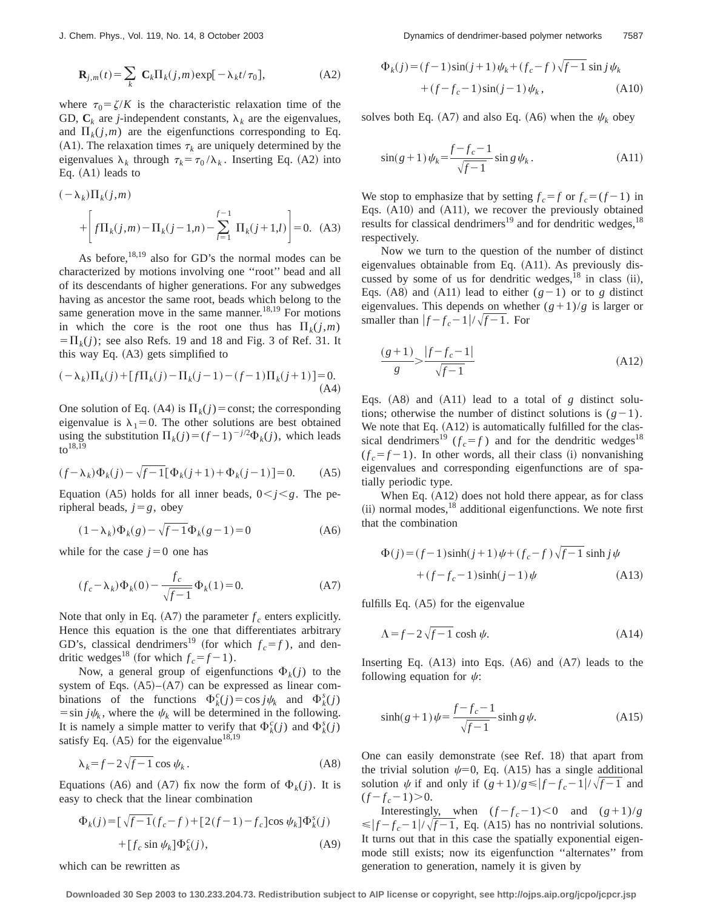$$
\mathbf{R}_{j,m}(t) = \sum_{k} \mathbf{C}_{k} \Pi_{k}(j,m) \exp[-\lambda_{k}t/\tau_{0}], \tag{A2}
$$

where  $\tau_0 = \zeta/K$  is the characteristic relaxation time of the GD,  $C_k$  are *j*-independent constants,  $\lambda_k$  are the eigenvalues, and  $\Pi_k(j,m)$  are the eigenfunctions corresponding to Eq.  $(A1)$ . The relaxation times  $\tau_k$  are uniquely determined by the eigenvalues  $\lambda_k$  through  $\tau_k = \tau_0 / \lambda_k$ . Inserting Eq. (A2) into Eq.  $(A1)$  leads to

$$
(-\lambda_k)\Pi_k(j,m)
$$
  
+  $\left[f\Pi_k(j,m) - \Pi_k(j-1,n) - \sum_{l=1}^{f-1} \Pi_k(j+1,l)\right] = 0.$  (A3)

As before, $18,19$  also for GD's the normal modes can be characterized by motions involving one ''root'' bead and all of its descendants of higher generations. For any subwedges having as ancestor the same root, beads which belong to the same generation move in the same manner.<sup>18,19</sup> For motions in which the core is the root one thus has  $\Pi_k(i,m)$  $=\Pi_k(j)$ ; see also Refs. 19 and 18 and Fig. 3 of Ref. 31. It this way Eq.  $(A3)$  gets simplified to

$$
(-\lambda_k)\Pi_k(j) + [f\Pi_k(j) - \Pi_k(j-1) - (f-1)\Pi_k(j+1)] = 0.
$$
\n(A4)

One solution of Eq. (A4) is  $\Pi_k(j)$  = const; the corresponding eigenvalue is  $\lambda_1=0$ . The other solutions are best obtained using the substitution  $\Pi_k(j) = (f-1)^{-j/2} \Phi_k(j)$ , which leads to $18,\overline{19}$ 

$$
(f - \lambda_k)\Phi_k(j) - \sqrt{f - 1}[\Phi_k(j + 1) + \Phi_k(j - 1)] = 0.
$$
 (A5)

Equation (A5) holds for all inner beads,  $0 \lt i \lt g$ . The peripheral beads,  $j = g$ , obey

$$
(1 - \lambda_k)\Phi_k(g) - \sqrt{f - 1}\Phi_k(g - 1) = 0
$$
 (A6)

while for the case  $j=0$  one has

$$
(f_c - \lambda_k)\Phi_k(0) - \frac{f_c}{\sqrt{f-1}}\Phi_k(1) = 0.
$$
 (A7)

Note that only in Eq.  $(A7)$  the parameter  $f_c$  enters explicitly. Hence this equation is the one that differentiates arbitrary GD's, classical dendrimers<sup>19</sup> (for which  $f_c = f$ ), and dendritic wedges<sup>18</sup> (for which  $f_c = f - 1$ ).

Now, a general group of eigenfunctions  $\Phi_k(j)$  to the system of Eqs.  $(A5)–(A7)$  can be expressed as linear combinations of the functions  $\Phi_k^c(j) = \cos j\psi_k$  and  $\Phi_k^s(j)$  $=$ sin  $j\psi_k$ , where the  $\psi_k$  will be determined in the following. It is namely a simple matter to verify that  $\Phi_k^c(j)$  and  $\Phi_k^s(j)$ satisfy Eq.  $(A5)$  for the eigenvalue<sup>18,19</sup>

$$
\lambda_k = f - 2\sqrt{f - 1} \cos \psi_k. \tag{A8}
$$

Equations (A6) and (A7) fix now the form of  $\Phi_k(j)$ . It is easy to check that the linear combination

$$
\Phi_k(j) = \left[\sqrt{f-1}(f_c - f) + \left[2(f-1) - f_c\right]\cos\psi_k\right]\Phi_k^s(j) + \left[f_c\sin\psi_k\right]\Phi_k^c(j),\tag{A9}
$$

which can be rewritten as

$$
\Phi_k(j) = (f-1)\sin(j+1)\psi_k + (f_c - f)\sqrt{f-1}\sin j\psi_k \n+ (f - f_c - 1)\sin(j-1)\psi_k, \tag{A10}
$$

solves both Eq. (A7) and also Eq. (A6) when the  $\psi_k$  obey

$$
\sin(g+1)\psi_k = \frac{f-f_c - 1}{\sqrt{f - 1}} \sin g \psi_k.
$$
 (A11)

We stop to emphasize that by setting  $f_c = f$  or  $f_c = (f - 1)$  in Eqs.  $(A10)$  and  $(A11)$ , we recover the previously obtained results for classical dendrimers<sup>19</sup> and for dendritic wedges,  $18$ respectively.

Now we turn to the question of the number of distinct eigenvalues obtainable from Eq.  $(A11)$ . As previously discussed by some of us for dendritic wedges,  $^{18}$  in class (ii), Eqs. (A8) and (A11) lead to either  $(g-1)$  or to *g* distinct eigenvalues. This depends on whether  $(g+1)/g$  is larger or smaller than  $|f-f_c-1|/\sqrt{f-1}$ . For

$$
\frac{(g+1)}{g} > \frac{|f - f_c - 1|}{\sqrt{f - 1}}\tag{A12}
$$

Eqs.  $(A8)$  and  $(A11)$  lead to a total of *g* distinct solutions; otherwise the number of distinct solutions is  $(g-1)$ . We note that Eq.  $(A12)$  is automatically fulfilled for the classical dendrimers<sup>19</sup> ( $f_c = f$ ) and for the dendritic wedges<sup>18</sup>  $(f_c = f - 1)$ . In other words, all their class (i) nonvanishing eigenvalues and corresponding eigenfunctions are of spatially periodic type.

When Eq.  $(A12)$  does not hold there appear, as for class  $(iii)$  normal modes,<sup>18</sup> additional eigenfunctions. We note first that the combination

$$
\Phi(j) = (f-1)\sinh(j+1)\psi + (f_c - f)\sqrt{f-1}\sinh j\psi
$$

$$
+ (f - f_c - 1)\sinh(j-1)\psi
$$
 (A13)

fulfills Eq.  $(A5)$  for the eigenvalue

$$
\Lambda = f - 2\sqrt{f - 1} \cosh \psi. \tag{A14}
$$

Inserting Eq.  $(A13)$  into Eqs.  $(A6)$  and  $(A7)$  leads to the following equation for  $\psi$ :

$$
\sinh(g+1)\psi = \frac{f-f_c - 1}{\sqrt{f - 1}} \sinh g \psi.
$$
 (A15)

One can easily demonstrate (see Ref.  $18$ ) that apart from the trivial solution  $\psi=0$ , Eq. (A15) has a single additional solution  $\psi$  if and only if  $(g+1)/g \le |f-f_c-1|/\sqrt{f-1}$  and  $(f-f_c-1)$ .

Interestingly, when  $(f-f_c-1) < 0$  and  $(g+1)/g$  $\leq |f - f_c - 1| / \sqrt{f - 1}$ , Eq. (A15) has no nontrivial solutions. It turns out that in this case the spatially exponential eigenmode still exists; now its eigenfunction ''alternates'' from generation to generation, namely it is given by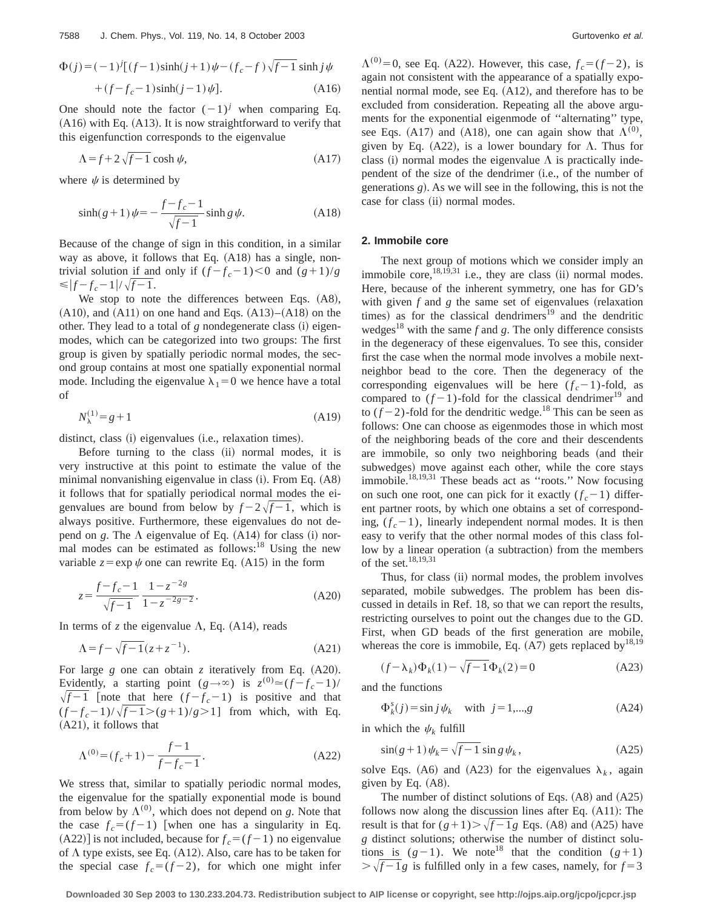$$
\Phi(j) = (-1)^{j} [(f-1)\sinh(j+1)\psi - (f_c - f)\sqrt{f-1} \sinh j\psi + (f - f_c - 1)\sinh(j-1)\psi].
$$
\n(A16)

One should note the factor  $(-1)^j$  when comparing Eq.  $(A16)$  with Eq.  $(A13)$ . It is now straightforward to verify that this eigenfunction corresponds to the eigenvalue

$$
\Lambda = f + 2\sqrt{f - 1} \cosh \psi,\tag{A17}
$$

where  $\psi$  is determined by

$$
\sinh(g+1)\psi = -\frac{f-f_c - 1}{\sqrt{f - 1}} \sinh g \psi.
$$
 (A18)

Because of the change of sign in this condition, in a similar way as above, it follows that Eq.  $(A18)$  has a single, nontrivial solution if and only if  $(f-f_c-1) < 0$  and  $(g+1)/g$  $\leq$   $|f-f_c-1|/\sqrt{f-1}$ .

We stop to note the differences between Eqs.  $(AB)$ ,  $(A10)$ , and  $(A11)$  on one hand and Eqs.  $(A13)–(A18)$  on the other. They lead to a total of  $g$  nondegenerate class  $(i)$  eigenmodes, which can be categorized into two groups: The first group is given by spatially periodic normal modes, the second group contains at most one spatially exponential normal mode. Including the eigenvalue  $\lambda_1=0$  we hence have a total of

$$
N_{\lambda}^{(1)} = g + 1 \tag{A19}
$$

distinct, class (i) eigenvalues (i.e., relaxation times).

Before turning to the class (ii) normal modes, it is very instructive at this point to estimate the value of the minimal nonvanishing eigenvalue in class  $(i)$ . From Eq.  $(A8)$ it follows that for spatially periodical normal modes the eigenvalues are bound from below by  $f - 2\sqrt{f - 1}$ , which is always positive. Furthermore, these eigenvalues do not depend on *g*. The  $\Lambda$  eigenvalue of Eq. (A14) for class (i) normal modes can be estimated as follows: $18$  Using the new variable  $z = \exp \psi$  one can rewrite Eq. (A15) in the form

$$
z = \frac{f - f_c - 1}{\sqrt{f - 1}} \frac{1 - z^{-2g}}{1 - z^{-2g - 2}}.
$$
 (A20)

In terms of *z* the eigenvalue  $\Lambda$ , Eq. (A14), reads

$$
\Lambda = f - \sqrt{f - 1}(z + z^{-1}).\tag{A21}
$$

For large  $g$  one can obtain  $z$  iteratively from Eq.  $(A20)$ . Evidently, a starting point  $(g \rightarrow \infty)$  is  $z^{(0)} \approx (f - f_c - 1)$ /  $\sqrt{f-1}$  [note that here  $(f - f_c - 1)$  is positive and that  $(f - f_c - 1)/\sqrt{f - 1} > (g + 1)/g > 1$ ] from which, with Eq.  $(A21)$ , it follows that

$$
\Lambda^{(0)} = (f_c + 1) - \frac{f - 1}{f - f_c - 1}.
$$
\n(A22)

We stress that, similar to spatially periodic normal modes, the eigenvalue for the spatially exponential mode is bound from below by  $\Lambda^{(0)}$ , which does not depend on *g*. Note that the case  $f_c = (f - 1)$  [when one has a singularity in Eq.  $(A22)$  is not included, because for  $f_c = (f - 1)$  no eigenvalue of  $\Lambda$  type exists, see Eq. (A12). Also, care has to be taken for the special case  $f_c = (f - 2)$ , for which one might infer  $\Lambda^{(0)} = 0$ , see Eq. (A22). However, this case,  $f_c = (f - 2)$ , is again not consistent with the appearance of a spatially exponential normal mode, see Eq.  $(A12)$ , and therefore has to be excluded from consideration. Repeating all the above arguments for the exponential eigenmode of ''alternating'' type, see Eqs. (A17) and (A18), one can again show that  $\Lambda^{(0)}$ , given by Eq. (A22), is a lower boundary for  $\Lambda$ . Thus for class (i) normal modes the eigenvalue  $\Lambda$  is practically independent of the size of the dendrimer (i.e., of the number of generations  $g$ ). As we will see in the following, this is not the case for class (ii) normal modes.

## **2. Immobile core**

The next group of motions which we consider imply an immobile core, $18,19,31$  i.e., they are class (ii) normal modes. Here, because of the inherent symmetry, one has for GD's with given  $f$  and  $g$  the same set of eigenvalues (relaxation times) as for the classical dendrimers<sup>19</sup> and the dendritic wedges<sup>18</sup> with the same  $f$  and  $g$ . The only difference consists in the degeneracy of these eigenvalues. To see this, consider first the case when the normal mode involves a mobile nextneighbor bead to the core. Then the degeneracy of the corresponding eigenvalues will be here  $(f_c - 1)$ -fold, as compared to  $(f-1)$ -fold for the classical dendrimer<sup>19</sup> and to  $(f-2)$ -fold for the dendritic wedge.<sup>18</sup> This can be seen as follows: One can choose as eigenmodes those in which most of the neighboring beads of the core and their descendents are immobile, so only two neighboring beads (and their subwedges) move against each other, while the core stays immobile.18,19,31 These beads act as ''roots.'' Now focusing on such one root, one can pick for it exactly  $(f_c - 1)$  different partner roots, by which one obtains a set of corresponding,  $(f_c - 1)$ , linearly independent normal modes. It is then easy to verify that the other normal modes of this class follow by a linear operation (a subtraction) from the members of the set.18,19,31

Thus, for class (ii) normal modes, the problem involves separated, mobile subwedges. The problem has been discussed in details in Ref. 18, so that we can report the results, restricting ourselves to point out the changes due to the GD. First, when GD beads of the first generation are mobile, whereas the core is immobile, Eq.  $(A7)$  gets replaced by<sup>18,19</sup>

$$
(f - \lambda_k)\Phi_k(1) - \sqrt{f - 1}\Phi_k(2) = 0
$$
 (A23)

and the functions

$$
\Phi_k^s(j) = \sin j \psi_k \quad \text{with} \quad j = 1, \dots, g \tag{A24}
$$

in which the  $\psi_k$  fulfill

$$
\sin(g+1)\psi_k = \sqrt{f-1}\sin g\,\psi_k,\tag{A25}
$$

solve Eqs. (A6) and (A23) for the eigenvalues  $\lambda_k$ , again given by Eq.  $(A8)$ .

The number of distinct solutions of Eqs.  $(A8)$  and  $(A25)$ follows now along the discussion lines after Eq.  $(A11)$ : The result is that for  $(g+1)$  $\searrow$   $\sqrt{f-1}g$  Eqs. (A8) and (A25) have *g* distinct solutions; otherwise the number of distinct solutions is  $(g-1)$ . We note<sup>18</sup> that the condition  $(g+1)$  $\frac{1}{4}$  / $f - 1g$  is fulfilled only in a few cases, namely, for  $f = 3$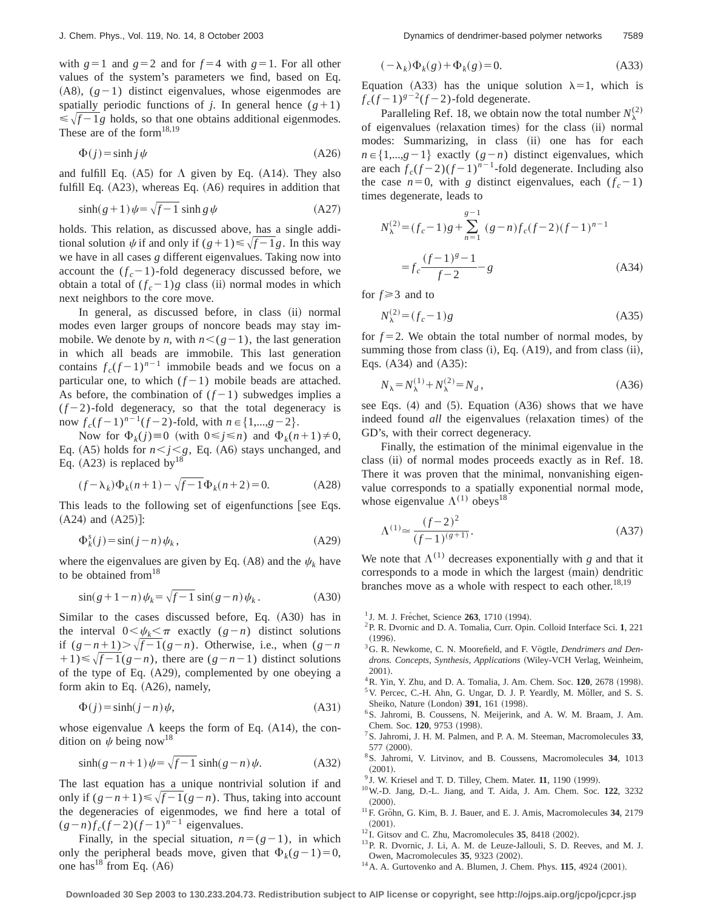with  $g=1$  and  $g=2$  and for  $f=4$  with  $g=1$ . For all other values of the system's parameters we find, based on Eq.  $(A8)$ ,  $(g-1)$  distinct eigenvalues, whose eigenmodes are spatially periodic functions of *j*. In general hence  $(g+1)$  $\leq \sqrt{f-1}g$  holds, so that one obtains additional eigenmodes. These are of the form $18,19$ 

$$
\Phi(j) = \sinh j \psi \tag{A26}
$$

and fulfill Eq.  $(A5)$  for  $\Lambda$  given by Eq.  $(A14)$ . They also fulfill Eq.  $(A23)$ , whereas Eq.  $(A6)$  requires in addition that

$$
\sinh(g+1)\psi = \sqrt{f-1}\sinh g\,\psi\tag{A27}
$$

holds. This relation, as discussed above, has a single additional solution  $\psi$  if and only if  $(g+1) \le \sqrt{f-1}g$ . In this way we have in all cases *g* different eigenvalues. Taking now into account the  $(f_c - 1)$ -fold degeneracy discussed before, we obtain a total of  $(f_c - 1)g$  class (ii) normal modes in which next neighbors to the core move.

In general, as discussed before, in class (ii) normal modes even larger groups of noncore beads may stay immobile. We denote by *n*, with  $n < (g-1)$ , the last generation in which all beads are immobile. This last generation contains  $f_c(f-1)^{n-1}$  immobile beads and we focus on a particular one, to which  $(f-1)$  mobile beads are attached. As before, the combination of  $(f-1)$  subwedges implies a  $(f-2)$ -fold degeneracy, so that the total degeneracy is now  $f_c(f-1)^{n-1}(f-2)$ -fold, with  $n \in \{1,...,g-2\}$ .

Now for  $\Phi_k(j) \equiv 0$  (with  $0 \leq j \leq n$ ) and  $\Phi_k(n+1) \neq 0$ , Eq. (A5) holds for  $n < j < g$ , Eq. (A6) stays unchanged, and Eq.  $(A23)$  is replaced by<sup>18</sup>

$$
(f - \lambda_k)\Phi_k(n+1) - \sqrt{f - 1}\Phi_k(n+2) = 0.
$$
 (A28)

This leads to the following set of eigenfunctions [see Eqs.  $(A24)$  and  $(A25)$  :

$$
\Phi_k^s(j) = \sin(j - n)\,\psi_k\,,\tag{A29}
$$

where the eigenvalues are given by Eq. (A8) and the  $\psi_k$  have to be obtained from  $18$ 

$$
\sin(g+1-n)\psi_k = \sqrt{f-1}\,\sin(g-n)\psi_k\,. \tag{A30}
$$

Similar to the cases discussed before, Eq.  $(A30)$  has in the interval  $0<\psi_k<\pi$  exactly  $(g-n)$  distinct solutions if  $(g - n + 1)$ > $\sqrt{f - 1(g - n)}$ . Otherwise, i.e., when  $(g - n)$  $+1$ ) $\leq \sqrt{f-1}(g-n)$ , there are  $(g-n-1)$  distinct solutions of the type of Eq.  $(A29)$ , complemented by one obeying a form akin to Eq.  $(A26)$ , namely,

$$
\Phi(j) = \sinh(j - n)\psi,\tag{A31}
$$

whose eigenvalue  $\Lambda$  keeps the form of Eq. (A14), the condition on  $\psi$  being now<sup>18</sup>

$$
\sinh(g - n + 1)\psi = \sqrt{f - 1}\sinh(g - n)\psi.
$$
 (A32)

The last equation has a unique nontrivial solution if and only if  $(g-n+1) \le \sqrt{f-1}(g-n)$ . Thus, taking into account the degeneracies of eigenmodes, we find here a total of  $(g - n)f_c(f - 2)(f - 1)^{n-1}$  eigenvalues.

Finally, in the special situation,  $n=(g-1)$ , in which only the peripheral beads move, given that  $\Phi_k(g-1)=0$ , one has<sup>18</sup> from Eq.  $(A6)$ 

$$
(-\lambda_k)\Phi_k(g) + \Phi_k(g) = 0.
$$
 (A33)

Equation (A33) has the unique solution  $\lambda=1$ , which is  $f_c(f-1)^{g-2}(f-2)$ -fold degenerate.

Paralleling Ref. 18, we obtain now the total number  $N_{\lambda}^{(2)}$ of eigenvalues (relaxation times) for the class (ii) normal modes: Summarizing, in class (ii) one has for each  $n \in \{1,...,g-1\}$  exactly  $(g-n)$  distinct eigenvalues, which are each  $f_c(f-2)(f-1)^{n-1}$ -fold degenerate. Including also the case  $n=0$ , with *g* distinct eigenvalues, each  $(f_c-1)$ times degenerate, leads to

$$
N_{\lambda}^{(2)} = (f_c - 1)g + \sum_{n=1}^{g-1} (g-n)f_c(f-2)(f-1)^{n-1}
$$
  
=  $f_c \frac{(f-1)^g - 1}{f-2} - g$  (A34)

for  $f \geq 3$  and to

$$
N_{\lambda}^{(2)} = (f_c - 1)g\tag{A35}
$$

for  $f = 2$ . We obtain the total number of normal modes, by summing those from class  $(i)$ , Eq.  $(A19)$ , and from class  $(ii)$ , Eqs.  $(A34)$  and  $(A35)$ :

$$
N_{\lambda} = N_{\lambda}^{(1)} + N_{\lambda}^{(2)} = N_d, \tag{A36}
$$

see Eqs.  $(4)$  and  $(5)$ . Equation  $(A36)$  shows that we have indeed found *all* the eigenvalues (relaxation times) of the GD's, with their correct degeneracy.

Finally, the estimation of the minimal eigenvalue in the class (ii) of normal modes proceeds exactly as in Ref. 18. There it was proven that the minimal, nonvanishing eigenvalue corresponds to a spatially exponential normal mode, whose eigenvalue  $\Lambda^{(1)}$  obeys<sup>18</sup>

$$
\Lambda^{(1)} \approx \frac{(f-2)^2}{(f-1)^{(g+1)}}.
$$
\n(A37)

We note that  $\Lambda^{(1)}$  decreases exponentially with *g* and that it corresponds to a mode in which the largest (main) dendritic branches move as a whole with respect to each other.<sup>18,19</sup>

- <sup>1</sup> J. M. J. Fréchet, Science 263, 1710 (1994).
- 2P. R. Dvornic and D. A. Tomalia, Curr. Opin. Colloid Interface Sci. **1**, 221  $(1996).$
- <sup>3</sup>G. R. Newkome, C. N. Moorefield, and F. Vögtle, *Dendrimers and Den*drons. Concepts, Synthesis, Applications (Wiley-VCH Verlag, Weinheim, 2001).
- <sup>4</sup> R. Yin, Y. Zhu, and D. A. Tomalia, J. Am. Chem. Soc. **120**, 2678 (1998). <sup>5</sup>V. Percec, C.-H. Ahn, G. Ungar, D. J. P. Yeardly, M. Möller, and S. S. Sheiko, Nature (London) 391, 161 (1998).
- <sup>6</sup>S. Jahromi, B. Coussens, N. Meijerink, and A. W. M. Braam, J. Am. Chem. Soc. 120, 9753 (1998).
- 7S. Jahromi, J. H. M. Palmen, and P. A. M. Steeman, Macromolecules **33**,  $577 (2000)$ .
- 8S. Jahromi, V. Litvinov, and B. Coussens, Macromolecules **34**, 1013  $(2001).$
- $9$  J. W. Kriesel and T. D. Tilley, Chem. Mater. 11, 1190 (1999).
- 10W.-D. Jang, D.-L. Jiang, and T. Aida, J. Am. Chem. Soc. **122**, 3232  $(2000).$
- <sup>11</sup>F. Gröhn, G. Kim, B. J. Bauer, and E. J. Amis, Macromolecules 34, 2179  $(2001).$
- $12$  I. Gitsov and C. Zhu, Macromolecules 35, 8418  $(2002)$ .
- 13P. R. Dvornic, J. Li, A. M. de Leuze-Jallouli, S. D. Reeves, and M. J. Owen, Macromolecules 35, 9323 (2002).
- $14$  A. A. Gurtovenko and A. Blumen, J. Chem. Phys.  $115$ , 4924  $(2001)$ .